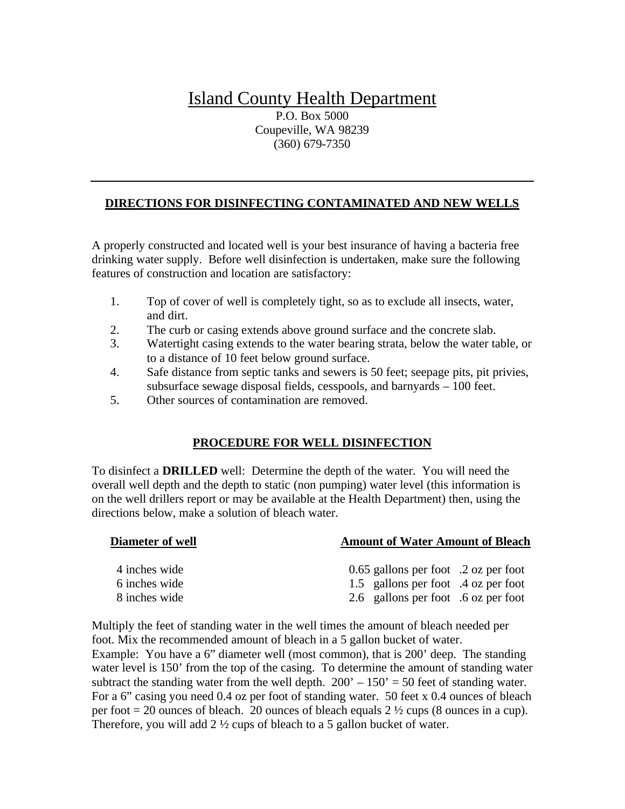## Island County Health Department

P.O. Box 5000 Coupeville, WA 98239 (360) 679-7350

## **DIRECTIONS FOR DISINFECTING CONTAMINATED AND NEW WELLS**

A properly constructed and located well is your best insurance of having a bacteria free drinking water supply. Before well disinfection is undertaken, make sure the following features of construction and location are satisfactory:

- 1. Top of cover of well is completely tight, so as to exclude all insects, water, and dirt.
- 2. The curb or casing extends above ground surface and the concrete slab.
- 3. Watertight casing extends to the water bearing strata, below the water table, or to a distance of 10 feet below ground surface.
- 4. Safe distance from septic tanks and sewers is 50 feet; seepage pits, pit privies, subsurface sewage disposal fields, cesspools, and barnyards – 100 feet.
- 5. Other sources of contamination are removed.

## **PROCEDURE FOR WELL DISINFECTION**

To disinfect a **DRILLED** well: Determine the depth of the water. You will need the overall well depth and the depth to static (non pumping) water level (this information is on the well drillers report or may be available at the Health Department) then, using the directions below, make a solution of bleach water.

| Diameter of well | <b>Amount of Water Amount of Bleach</b> |
|------------------|-----------------------------------------|
| 4 inches wide    | $0.65$ gallons per foot .2 oz per foot  |
| 6 inches wide    | 1.5 gallons per foot .4 oz per foot     |
| 8 inches wide    | 2.6 gallons per foot .6 oz per foot     |

Multiply the feet of standing water in the well times the amount of bleach needed per foot. Mix the recommended amount of bleach in a 5 gallon bucket of water. Example: You have a 6" diameter well (most common), that is 200' deep. The standing water level is 150' from the top of the casing. To determine the amount of standing water subtract the standing water from the well depth.  $200' - 150' = 50$  feet of standing water. For a 6" casing you need 0.4 oz per foot of standing water. 50 feet x 0.4 ounces of bleach per foot  $= 20$  ounces of bleach. 20 ounces of bleach equals  $2\frac{1}{2}$  cups (8 ounces in a cup). Therefore, you will add 2 ½ cups of bleach to a 5 gallon bucket of water.